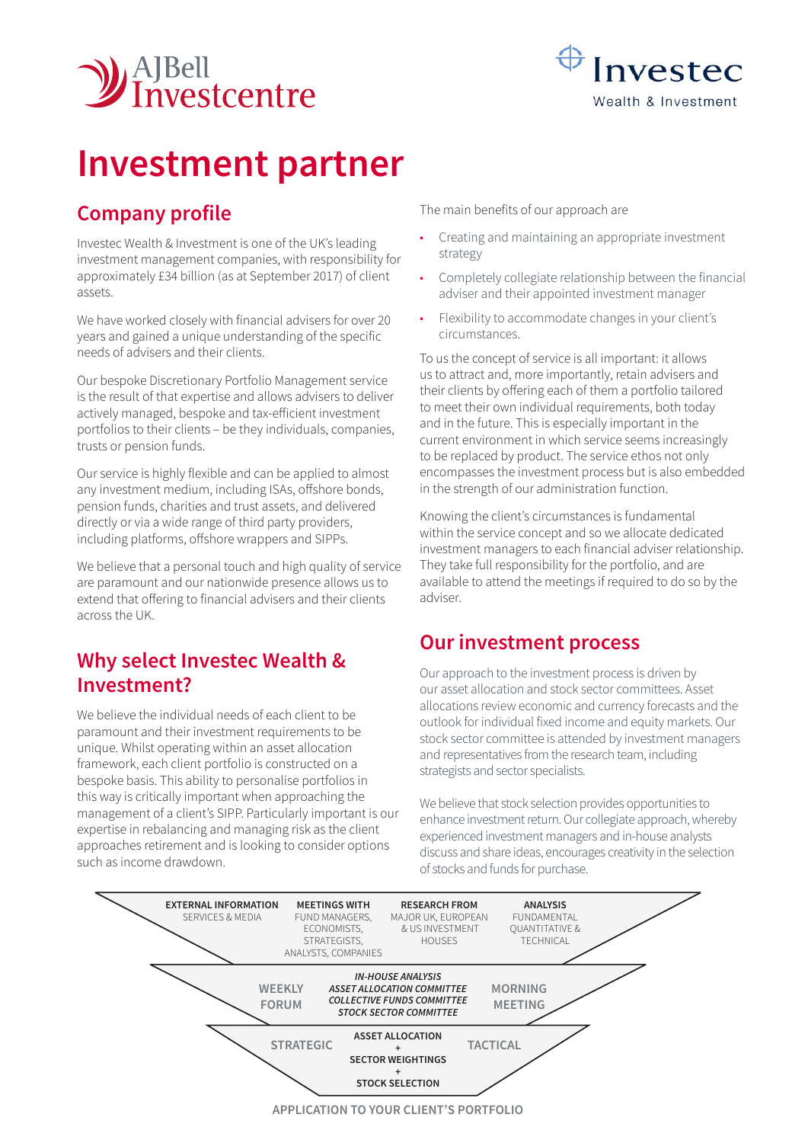



# **Investment partner**

# **Company profile**

Investec Wealth & Investment is one of the UK's leading investment management companies, with responsibility for approximately £34 billion (as at September 2017) of client assets.

We have worked closely with financial advisers for over 20 years and gained a unique understanding of the specific needs of advisers and their clients.

Our bespoke Discretionary Portfolio Management service is the result of that expertise and allows advisers to deliver actively managed, bespoke and tax-efficient investment portfolios to their clients – be they individuals, companies, trusts or pension funds.

Our service is highly flexible and can be applied to almost any investment medium, including ISAs, offshore bonds, pension funds, charities and trust assets, and delivered directly or via a wide range of third party providers, including platforms, offshore wrappers and SIPPs.

We believe that a personal touch and high quality of service are paramount and our nationwide presence allows us to extend that offering to financial advisers and their clients across the UK.

## **Why select Investec Wealth & Investment?**

We believe the individual needs of each client to be paramount and their investment requirements to be unique. Whilst operating within an asset allocation framework, each client portfolio is constructed on a bespoke basis. This ability to personalise portfolios in this way is critically important when approaching the management of a client's SIPP. Particularly important is our expertise in rebalancing and managing risk as the client approaches retirement and is looking to consider options such as income drawdown.

The main benefits of our approach are

- Creating and maintaining an appropriate investment strategy
- Completely collegiate relationship between the financial adviser and their appointed investment manager
- Flexibility to accommodate changes in your client's circumstances.

To us the concept of service is all important: it allows us to attract and, more importantly, retain advisers and their clients by offering each of them a portfolio tailored to meet their own individual requirements, both today and in the future. This is especially important in the current environment in which service seems increasingly to be replaced by product. The service ethos not only encompasses the investment process but is also embedded in the strength of our administration function.

Knowing the client's circumstances is fundamental within the service concept and so we allocate dedicated investment managers to each financial adviser relationship. They take full responsibility for the portfolio, and are available to attend the meetings if required to do so by the adviser.

### **Our investment process**

Our approach to the investment process is driven by our asset allocation and stock sector committees. Asset allocations review economic and currency forecasts and the outlook for individual fixed income and equity markets. Our stock sector committee is attended by investment managers and representatives from the research team, including strategists and sector specialists.

We believe that stock selection provides opportunities to enhance investment return. Our collegiate approach, whereby experienced investment managers and in-house analysts discuss and share ideas, encourages creativity in the selection of stocks and funds for purchase.